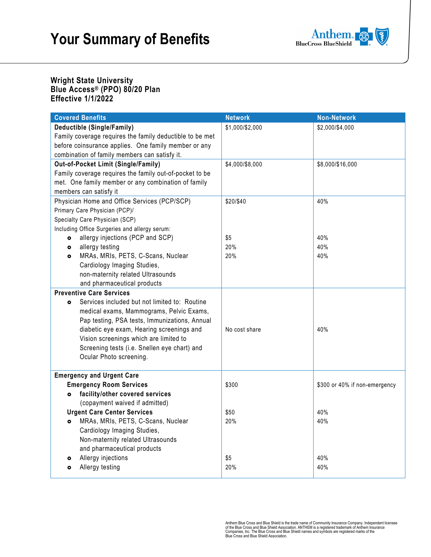

#### **Wright State University Blue Access® (PPO) 80/20 Plan Effective 1/1/2022**

| <b>Covered Benefits</b>                                    | <b>Network</b>  | <b>Non-Network</b>            |
|------------------------------------------------------------|-----------------|-------------------------------|
| Deductible (Single/Family)                                 | \$1,000/\$2,000 | \$2,000/\$4,000               |
| Family coverage requires the family deductible to be met   |                 |                               |
| before coinsurance applies. One family member or any       |                 |                               |
| combination of family members can satisfy it.              |                 |                               |
| Out-of-Pocket Limit (Single/Family)                        | \$4,000/\$8,000 | \$8,000/\$16,000              |
| Family coverage requires the family out-of-pocket to be    |                 |                               |
| met. One family member or any combination of family        |                 |                               |
| members can satisfy it                                     |                 |                               |
| Physician Home and Office Services (PCP/SCP)               | \$20/\$40       | 40%                           |
| Primary Care Physician (PCP)/                              |                 |                               |
| Specialty Care Physician (SCP)                             |                 |                               |
| Including Office Surgeries and allergy serum:              |                 |                               |
| allergy injections (PCP and SCP)<br>$\bullet$              | \$5             | 40%                           |
| allergy testing<br>$\bullet$                               | 20%             | 40%                           |
| MRAs, MRIs, PETS, C-Scans, Nuclear<br>$\bullet$            | 20%             | 40%                           |
| Cardiology Imaging Studies,                                |                 |                               |
| non-maternity related Ultrasounds                          |                 |                               |
| and pharmaceutical products                                |                 |                               |
| <b>Preventive Care Services</b>                            |                 |                               |
| Services included but not limited to: Routine<br>$\bullet$ |                 |                               |
| medical exams, Mammograms, Pelvic Exams,                   |                 |                               |
| Pap testing, PSA tests, Immunizations, Annual              |                 |                               |
| diabetic eye exam, Hearing screenings and                  | No cost share   | 40%                           |
| Vision screenings which are limited to                     |                 |                               |
| Screening tests (i.e. Snellen eye chart) and               |                 |                               |
| Ocular Photo screening.                                    |                 |                               |
|                                                            |                 |                               |
| <b>Emergency and Urgent Care</b>                           |                 |                               |
| <b>Emergency Room Services</b>                             | \$300           | \$300 or 40% if non-emergency |
| facility/other covered services<br>۰                       |                 |                               |
| (copayment waived if admitted)                             |                 |                               |
| <b>Urgent Care Center Services</b>                         | \$50            | 40%                           |
| MRAs, MRIs, PETS, C-Scans, Nuclear<br>$\bullet$            | 20%             | 40%                           |
| Cardiology Imaging Studies,                                |                 |                               |
| Non-maternity related Ultrasounds                          |                 |                               |
| and pharmaceutical products                                |                 |                               |
| Allergy injections<br>۰                                    | \$5             | 40%                           |
| Allergy testing<br>۰                                       | 20%             | 40%                           |

Anthem Blue Cross and Blue Shield is the trade name of Community Insurance Company. Independent licensee<br>of the Blue Cross and Blue Shield Association. ANTHEM is a registered trademark of Anthem Insurance<br>Companies, Inc. T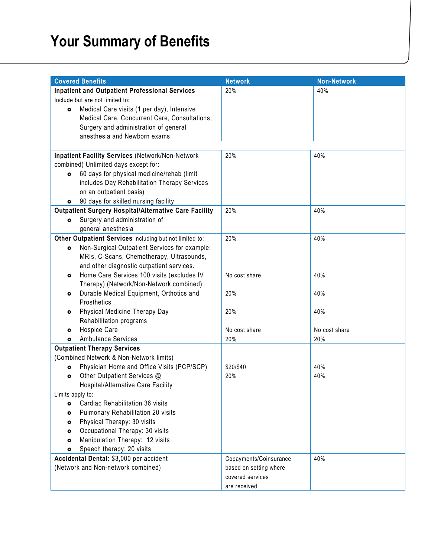# **Your Summary of Benefits**

|                                                       | <b>Covered Benefits</b>                                                | <b>Network</b>         | <b>Non-Network</b> |  |
|-------------------------------------------------------|------------------------------------------------------------------------|------------------------|--------------------|--|
| <b>Inpatient and Outpatient Professional Services</b> |                                                                        | 20%                    | 40%                |  |
|                                                       | Include but are not limited to:                                        |                        |                    |  |
| $\bullet$                                             | Medical Care visits (1 per day), Intensive                             |                        |                    |  |
|                                                       | Medical Care, Concurrent Care, Consultations,                          |                        |                    |  |
|                                                       | Surgery and administration of general                                  |                        |                    |  |
|                                                       | anesthesia and Newborn exams                                           |                        |                    |  |
|                                                       |                                                                        |                        |                    |  |
|                                                       | <b>Inpatient Facility Services (Network/Non-Network)</b>               | 20%                    | 40%                |  |
|                                                       | combined) Unlimited days except for:                                   |                        |                    |  |
| $\bullet$                                             | 60 days for physical medicine/rehab (limit                             |                        |                    |  |
|                                                       | includes Day Rehabilitation Therapy Services                           |                        |                    |  |
|                                                       | on an outpatient basis)                                                |                        |                    |  |
| $\bullet$                                             | 90 days for skilled nursing facility                                   |                        |                    |  |
|                                                       | <b>Outpatient Surgery Hospital/Alternative Care Facility</b>           | 20%                    | 40%                |  |
| $\bullet$                                             | Surgery and administration of                                          |                        |                    |  |
|                                                       | general anesthesia                                                     |                        |                    |  |
|                                                       | Other Outpatient Services including but not limited to:                | 20%                    | 40%                |  |
| $\bullet$                                             | Non-Surgical Outpatient Services for example:                          |                        |                    |  |
|                                                       | MRIs, C-Scans, Chemotherapy, Ultrasounds,                              |                        |                    |  |
|                                                       | and other diagnostic outpatient services.                              |                        |                    |  |
| $\bullet$                                             | Home Care Services 100 visits (excludes IV                             | No cost share          | 40%                |  |
|                                                       | Therapy) (Network/Non-Network combined)                                |                        |                    |  |
| ۰                                                     | Durable Medical Equipment, Orthotics and                               | 20%                    | 40%                |  |
|                                                       | Prosthetics                                                            |                        |                    |  |
| ۰                                                     | Physical Medicine Therapy Day                                          | 20%                    | 40%                |  |
|                                                       | Rehabilitation programs                                                |                        |                    |  |
| $\bullet$                                             | Hospice Care                                                           | No cost share          | No cost share      |  |
| $\bullet$                                             | <b>Ambulance Services</b>                                              | 20%                    | 20%                |  |
|                                                       | <b>Outpatient Therapy Services</b>                                     |                        |                    |  |
|                                                       | (Combined Network & Non-Network limits)                                |                        |                    |  |
| $\bullet$                                             | Physician Home and Office Visits (PCP/SCP)                             | \$20/\$40              | 40%                |  |
| $\bullet$                                             | Other Outpatient Services @                                            | 20%                    | 40%                |  |
|                                                       | Hospital/Alternative Care Facility                                     |                        |                    |  |
|                                                       | Limits apply to:                                                       |                        |                    |  |
| $\bullet$                                             | Cardiac Rehabilitation 36 visits<br>Pulmonary Rehabilitation 20 visits |                        |                    |  |
| ۰                                                     | Physical Therapy: 30 visits                                            |                        |                    |  |
| $\bullet$                                             | Occupational Therapy: 30 visits                                        |                        |                    |  |
| $\bullet$<br>$\bullet$                                | Manipulation Therapy: 12 visits                                        |                        |                    |  |
| $\bullet$                                             | Speech therapy: 20 visits                                              |                        |                    |  |
|                                                       | Accidental Dental: \$3,000 per accident                                | Copayments/Coinsurance | 40%                |  |
|                                                       | (Network and Non-network combined)                                     | based on setting where |                    |  |
|                                                       |                                                                        | covered services       |                    |  |
|                                                       |                                                                        | are received           |                    |  |
|                                                       |                                                                        |                        |                    |  |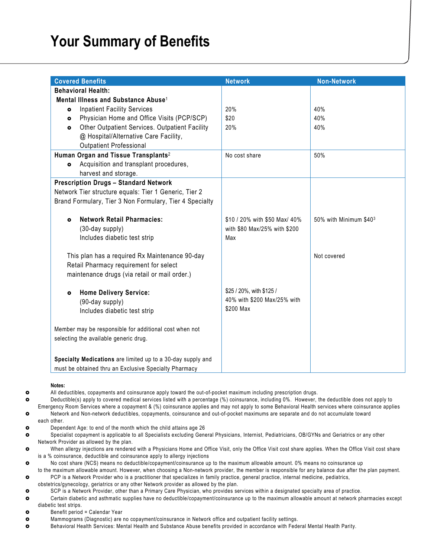## **Your Summary of Benefits**

| <b>Covered Benefits</b>                                                                                                                | <b>Network</b>                | <b>Non-Network</b>     |
|----------------------------------------------------------------------------------------------------------------------------------------|-------------------------------|------------------------|
| <b>Behavioral Health:</b>                                                                                                              |                               |                        |
| Mental Illness and Substance Abuse <sup>1</sup>                                                                                        |                               |                        |
| <b>Inpatient Facility Services</b><br>$\bullet$                                                                                        | 20%                           | 40%                    |
| Physician Home and Office Visits (PCP/SCP)<br>$\bullet$                                                                                | \$20                          | 40%                    |
| Other Outpatient Services. Outpatient Facility<br>$\bullet$<br>@ Hospital/Alternative Care Facility,<br><b>Outpatient Professional</b> | 20%                           | 40%                    |
| Human Organ and Tissue Transplants <sup>2</sup>                                                                                        | No cost share                 | 50%                    |
| Acquisition and transplant procedures,<br>$\bullet$                                                                                    |                               |                        |
| harvest and storage.                                                                                                                   |                               |                        |
| <b>Prescription Drugs - Standard Network</b>                                                                                           |                               |                        |
| Network Tier structure equals: Tier 1 Generic, Tier 2                                                                                  |                               |                        |
| Brand Formulary, Tier 3 Non Formulary, Tier 4 Specialty                                                                                |                               |                        |
| <b>Network Retail Pharmacies:</b><br>$\bullet$                                                                                         | \$10 / 20% with \$50 Max/ 40% | 50% with Minimum \$403 |
| (30-day supply)                                                                                                                        | with \$80 Max/25% with \$200  |                        |
| Includes diabetic test strip                                                                                                           | Max                           |                        |
| This plan has a required Rx Maintenance 90-day                                                                                         |                               | Not covered            |
| Retail Pharmacy requirement for select                                                                                                 |                               |                        |
| maintenance drugs (via retail or mail order.)                                                                                          |                               |                        |
| <b>Home Delivery Service:</b><br>$\bullet$                                                                                             | \$25 / 20%, with \$125 /      |                        |
| (90-day supply)                                                                                                                        | 40% with \$200 Max/25% with   |                        |
| Includes diabetic test strip                                                                                                           | \$200 Max                     |                        |
| Member may be responsible for additional cost when not                                                                                 |                               |                        |
| selecting the available generic drug.                                                                                                  |                               |                        |
| Specialty Medications are limited up to a 30-day supply and                                                                            |                               |                        |
| must be obtained thru an Exclusive Specialty Pharmacy                                                                                  |                               |                        |

All deductibles, copayments and coinsurance apply toward the out-of-pocket maximum including prescription drugs.

 Deductible(s) apply to covered medical services listed with a percentage (%) coinsurance, including 0%. However, the deductible does not apply to Emergency Room Services where a copayment & (%) coinsurance applies and may not apply to some Behavioral Health services where coinsurance applies Network and Non-network deductibles, copayments, coinsurance and out-of-pocket maximums are separate and do not accumulate toward each other.

- **o** Dependent Age: to end of the month which the child attains age 26
- Specialist copayment is applicable to all Specialists excluding General Physicians, Internist, Pediatricians, OB/GYNs and Geriatrics or any other Network Provider as allowed by the plan.

 When allergy injections are rendered with a Physicians Home and Office Visit, only the Office Visit cost share applies. When the Office Visit cost share is a % coinsurance, deductible and coinsurance apply to allergy injections

No cost share (NCS) means no deductible/copayment/coinsurance up to the maximum allowable amount. 0% means no coinsurance up

to the maximum allowable amount. However, when choosing a Non-network provider, the member is responsible for any balance due after the plan payment. PCP is a Network Provider who is a practitioner that specializes in family practice, general practice, internal medicine, pediatrics,

- obstetrics/gynecology, geriatrics or any other Network provider as allowed by the plan.
- SCP is a Network Provider, other than a Primary Care Physician, who provides services within a designated specialty area of practice.
- Certain diabetic and asthmatic supplies have no deductible/copayment/coinsurance up to the maximum allowable amount at network pharmacies except diabetic test strips.
- **o** Benefit period = Calendar Year
- Mammograms (Diagnostic) are no copayment/coinsurance in Network office and outpatient facility settings.
- Behavioral Health Services: Mental Health and Substance Abuse benefits provided in accordance with Federal Mental Health Parity.